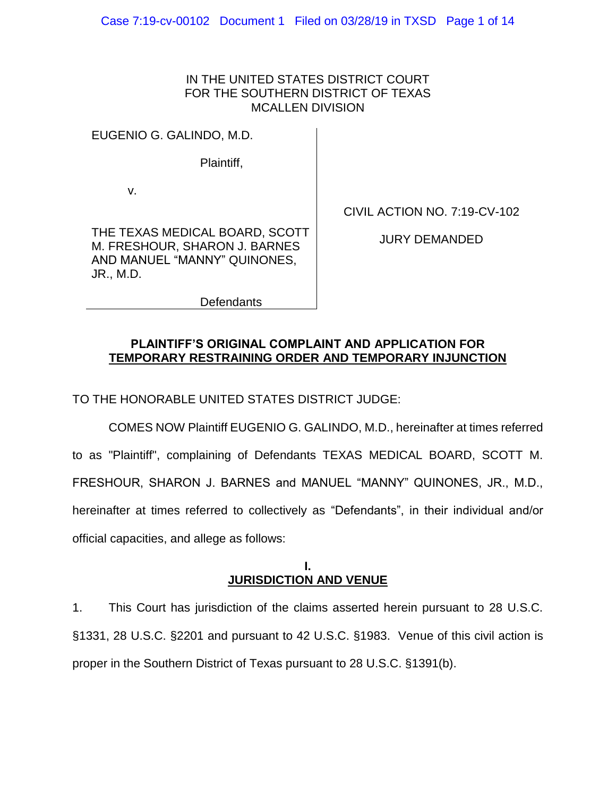## IN THE UNITED STATES DISTRICT COURT FOR THE SOUTHERN DISTRICT OF TEXAS MCALLEN DIVISION

EUGENIO G. GALINDO, M.D.

Plaintiff,

v.

CIVIL ACTION NO. 7:19-CV-102

THE TEXAS MEDICAL BOARD, SCOTT M. FRESHOUR, SHARON J. BARNES AND MANUEL "MANNY" QUINONES, JR., M.D.

JURY DEMANDED

**Defendants** 

## **PLAINTIFF'S ORIGINAL COMPLAINT AND APPLICATION FOR TEMPORARY RESTRAINING ORDER AND TEMPORARY INJUNCTION**

TO THE HONORABLE UNITED STATES DISTRICT JUDGE:

COMES NOW Plaintiff EUGENIO G. GALINDO, M.D., hereinafter at times referred to as "Plaintiff", complaining of Defendants TEXAS MEDICAL BOARD, SCOTT M. FRESHOUR, SHARON J. BARNES and MANUEL "MANNY" QUINONES, JR., M.D., hereinafter at times referred to collectively as "Defendants", in their individual and/or official capacities, and allege as follows:

### **I. JURISDICTION AND VENUE**

1. This Court has jurisdiction of the claims asserted herein pursuant to 28 U.S.C. §1331, 28 U.S.C. §2201 and pursuant to 42 U.S.C. §1983. Venue of this civil action is proper in the Southern District of Texas pursuant to 28 U.S.C. §1391(b).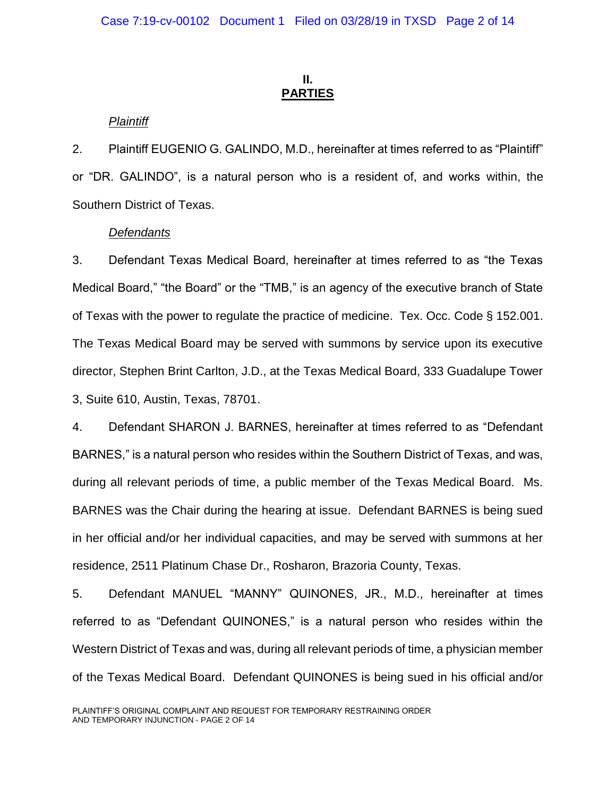## **II. PARTIES**

## *Plaintiff*

2. Plaintiff EUGENIO G. GALINDO, M.D., hereinafter at times referred to as "Plaintiff" or "DR. GALINDO", is a natural person who is a resident of, and works within, the Southern District of Texas.

### *Defendants*

3. Defendant Texas Medical Board, hereinafter at times referred to as "the Texas Medical Board," "the Board" or the "TMB," is an agency of the executive branch of State of Texas with the power to regulate the practice of medicine. Tex. Occ. Code § 152.001. The Texas Medical Board may be served with summons by service upon its executive director, Stephen Brint Carlton, J.D., at the Texas Medical Board, 333 Guadalupe Tower 3, Suite 610, Austin, Texas, 78701.

4. Defendant SHARON J. BARNES, hereinafter at times referred to as "Defendant BARNES," is a natural person who resides within the Southern District of Texas, and was, during all relevant periods of time, a public member of the Texas Medical Board. Ms. BARNES was the Chair during the hearing at issue. Defendant BARNES is being sued in her official and/or her individual capacities, and may be served with summons at her residence, 2511 Platinum Chase Dr., Rosharon, Brazoria County, Texas.

5. Defendant MANUEL "MANNY" QUINONES, JR., M.D., hereinafter at times referred to as "Defendant QUINONES," is a natural person who resides within the Western District of Texas and was, during all relevant periods of time, a physician member of the Texas Medical Board. Defendant QUINONES is being sued in his official and/or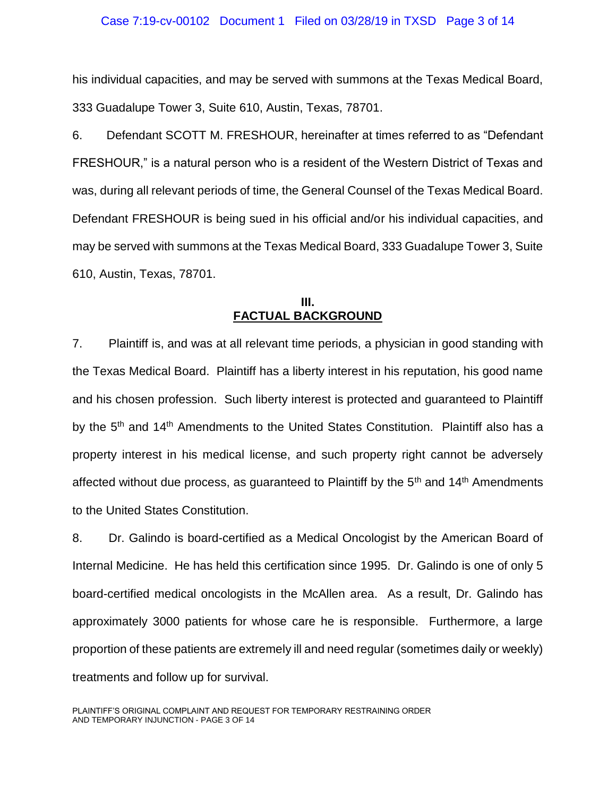#### Case 7:19-cv-00102 Document 1 Filed on 03/28/19 in TXSD Page 3 of 14

his individual capacities, and may be served with summons at the Texas Medical Board, 333 Guadalupe Tower 3, Suite 610, Austin, Texas, 78701.

6. Defendant SCOTT M. FRESHOUR, hereinafter at times referred to as "Defendant FRESHOUR," is a natural person who is a resident of the Western District of Texas and was, during all relevant periods of time, the General Counsel of the Texas Medical Board. Defendant FRESHOUR is being sued in his official and/or his individual capacities, and may be served with summons at the Texas Medical Board, 333 Guadalupe Tower 3, Suite 610, Austin, Texas, 78701.

### **III. FACTUAL BACKGROUND**

7. Plaintiff is, and was at all relevant time periods, a physician in good standing with the Texas Medical Board. Plaintiff has a liberty interest in his reputation, his good name and his chosen profession. Such liberty interest is protected and guaranteed to Plaintiff by the 5<sup>th</sup> and 14<sup>th</sup> Amendments to the United States Constitution. Plaintiff also has a property interest in his medical license, and such property right cannot be adversely affected without due process, as guaranteed to Plaintiff by the  $5<sup>th</sup>$  and  $14<sup>th</sup>$  Amendments to the United States Constitution.

8. Dr. Galindo is board-certified as a Medical Oncologist by the American Board of Internal Medicine. He has held this certification since 1995. Dr. Galindo is one of only 5 board-certified medical oncologists in the McAllen area. As a result, Dr. Galindo has approximately 3000 patients for whose care he is responsible. Furthermore, a large proportion of these patients are extremely ill and need regular (sometimes daily or weekly) treatments and follow up for survival.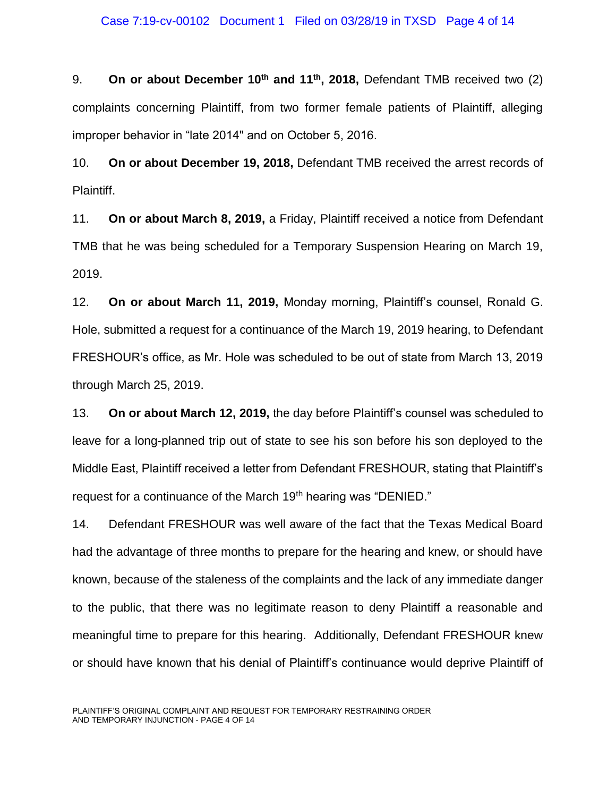#### Case 7:19-cv-00102 Document 1 Filed on 03/28/19 in TXSD Page 4 of 14

9. **On or about December 10th and 11th, 2018,** Defendant TMB received two (2) complaints concerning Plaintiff, from two former female patients of Plaintiff, alleging improper behavior in "late 2014" and on October 5, 2016.

10. **On or about December 19, 2018,** Defendant TMB received the arrest records of Plaintiff.

11. **On or about March 8, 2019,** a Friday, Plaintiff received a notice from Defendant TMB that he was being scheduled for a Temporary Suspension Hearing on March 19, 2019.

12. **On or about March 11, 2019,** Monday morning, Plaintiff's counsel, Ronald G. Hole, submitted a request for a continuance of the March 19, 2019 hearing, to Defendant FRESHOUR's office, as Mr. Hole was scheduled to be out of state from March 13, 2019 through March 25, 2019.

13. **On or about March 12, 2019,** the day before Plaintiff's counsel was scheduled to leave for a long-planned trip out of state to see his son before his son deployed to the Middle East, Plaintiff received a letter from Defendant FRESHOUR, stating that Plaintiff's request for a continuance of the March 19<sup>th</sup> hearing was "DENIED."

14. Defendant FRESHOUR was well aware of the fact that the Texas Medical Board had the advantage of three months to prepare for the hearing and knew, or should have known, because of the staleness of the complaints and the lack of any immediate danger to the public, that there was no legitimate reason to deny Plaintiff a reasonable and meaningful time to prepare for this hearing. Additionally, Defendant FRESHOUR knew or should have known that his denial of Plaintiff's continuance would deprive Plaintiff of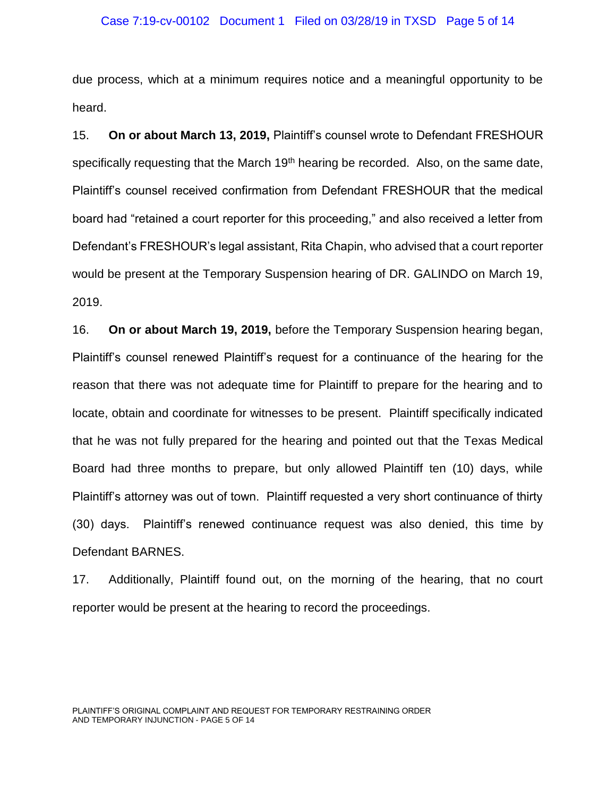#### Case 7:19-cv-00102 Document 1 Filed on 03/28/19 in TXSD Page 5 of 14

due process, which at a minimum requires notice and a meaningful opportunity to be heard.

15. **On or about March 13, 2019,** Plaintiff's counsel wrote to Defendant FRESHOUR specifically requesting that the March 19<sup>th</sup> hearing be recorded. Also, on the same date, Plaintiff's counsel received confirmation from Defendant FRESHOUR that the medical board had "retained a court reporter for this proceeding," and also received a letter from Defendant's FRESHOUR's legal assistant, Rita Chapin, who advised that a court reporter would be present at the Temporary Suspension hearing of DR. GALINDO on March 19, 2019.

16. **On or about March 19, 2019,** before the Temporary Suspension hearing began, Plaintiff's counsel renewed Plaintiff's request for a continuance of the hearing for the reason that there was not adequate time for Plaintiff to prepare for the hearing and to locate, obtain and coordinate for witnesses to be present. Plaintiff specifically indicated that he was not fully prepared for the hearing and pointed out that the Texas Medical Board had three months to prepare, but only allowed Plaintiff ten (10) days, while Plaintiff's attorney was out of town. Plaintiff requested a very short continuance of thirty (30) days. Plaintiff's renewed continuance request was also denied, this time by Defendant BARNES.

17. Additionally, Plaintiff found out, on the morning of the hearing, that no court reporter would be present at the hearing to record the proceedings.

PLAINTIFF'S ORIGINAL COMPLAINT AND REQUEST FOR TEMPORARY RESTRAINING ORDER AND TEMPORARY INJUNCTION - PAGE 5 OF 14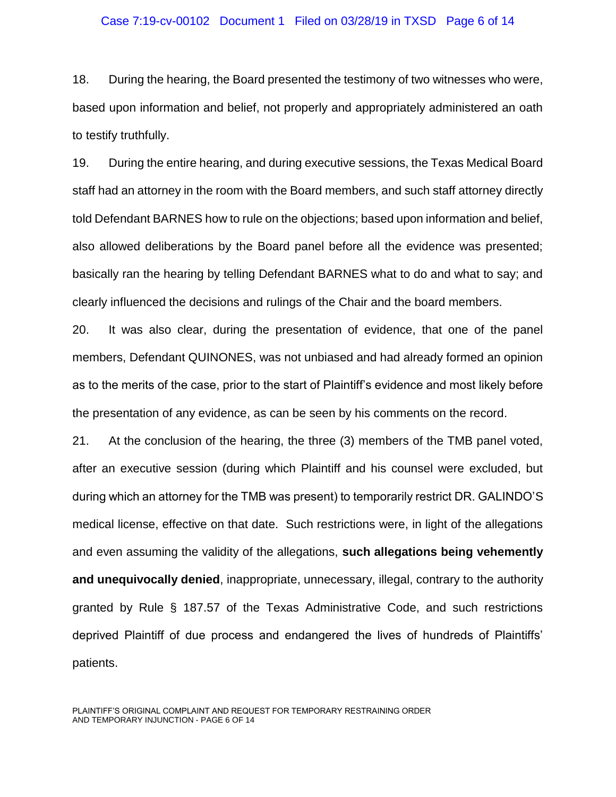#### Case 7:19-cv-00102 Document 1 Filed on 03/28/19 in TXSD Page 6 of 14

18. During the hearing, the Board presented the testimony of two witnesses who were, based upon information and belief, not properly and appropriately administered an oath to testify truthfully.

19. During the entire hearing, and during executive sessions, the Texas Medical Board staff had an attorney in the room with the Board members, and such staff attorney directly told Defendant BARNES how to rule on the objections; based upon information and belief, also allowed deliberations by the Board panel before all the evidence was presented; basically ran the hearing by telling Defendant BARNES what to do and what to say; and clearly influenced the decisions and rulings of the Chair and the board members.

20. It was also clear, during the presentation of evidence, that one of the panel members, Defendant QUINONES, was not unbiased and had already formed an opinion as to the merits of the case, prior to the start of Plaintiff's evidence and most likely before the presentation of any evidence, as can be seen by his comments on the record.

21. At the conclusion of the hearing, the three (3) members of the TMB panel voted, after an executive session (during which Plaintiff and his counsel were excluded, but during which an attorney for the TMB was present) to temporarily restrict DR. GALINDO'S medical license, effective on that date. Such restrictions were, in light of the allegations and even assuming the validity of the allegations, **such allegations being vehemently and unequivocally denied**, inappropriate, unnecessary, illegal, contrary to the authority granted by Rule § 187.57 of the Texas Administrative Code, and such restrictions deprived Plaintiff of due process and endangered the lives of hundreds of Plaintiffs' patients.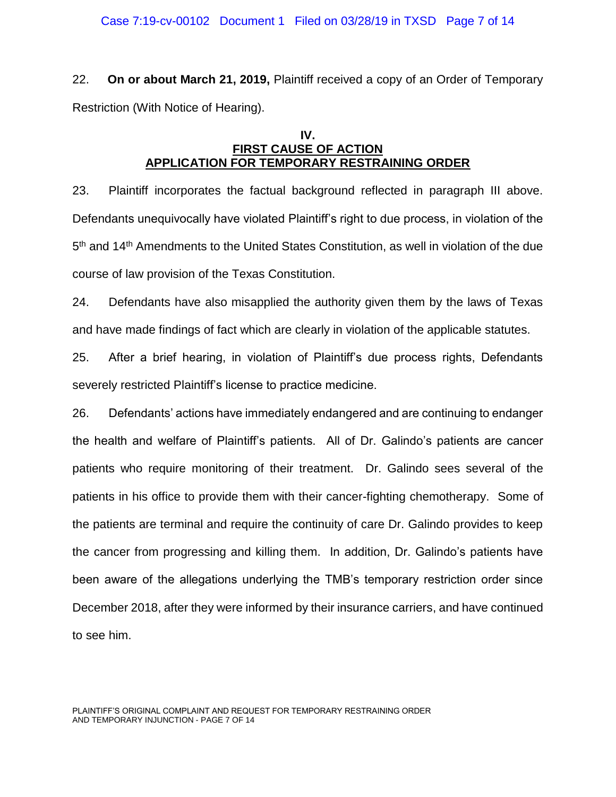22. **On or about March 21, 2019,** Plaintiff received a copy of an Order of Temporary Restriction (With Notice of Hearing).

### **IV. FIRST CAUSE OF ACTION APPLICATION FOR TEMPORARY RESTRAINING ORDER**

23. Plaintiff incorporates the factual background reflected in paragraph III above. Defendants unequivocally have violated Plaintiff's right to due process, in violation of the 5<sup>th</sup> and 14<sup>th</sup> Amendments to the United States Constitution, as well in violation of the due course of law provision of the Texas Constitution.

24. Defendants have also misapplied the authority given them by the laws of Texas and have made findings of fact which are clearly in violation of the applicable statutes.

25. After a brief hearing, in violation of Plaintiff's due process rights, Defendants severely restricted Plaintiff's license to practice medicine.

26. Defendants' actions have immediately endangered and are continuing to endanger the health and welfare of Plaintiff's patients. All of Dr. Galindo's patients are cancer patients who require monitoring of their treatment. Dr. Galindo sees several of the patients in his office to provide them with their cancer-fighting chemotherapy. Some of the patients are terminal and require the continuity of care Dr. Galindo provides to keep the cancer from progressing and killing them. In addition, Dr. Galindo's patients have been aware of the allegations underlying the TMB's temporary restriction order since December 2018, after they were informed by their insurance carriers, and have continued to see him.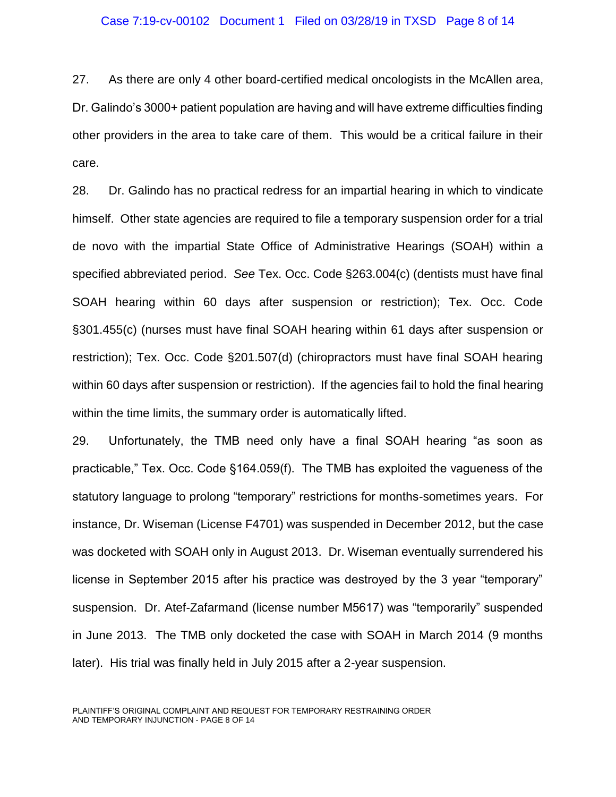#### Case 7:19-cv-00102 Document 1 Filed on 03/28/19 in TXSD Page 8 of 14

27. As there are only 4 other board-certified medical oncologists in the McAllen area, Dr. Galindo's 3000+ patient population are having and will have extreme difficulties finding other providers in the area to take care of them. This would be a critical failure in their care.

28. Dr. Galindo has no practical redress for an impartial hearing in which to vindicate himself. Other state agencies are required to file a temporary suspension order for a trial de novo with the impartial State Office of Administrative Hearings (SOAH) within a specified abbreviated period. *See* Tex. Occ. Code §263.004(c) (dentists must have final SOAH hearing within 60 days after suspension or restriction); Tex. Occ. Code §301.455(c) (nurses must have final SOAH hearing within 61 days after suspension or restriction); Tex. Occ. Code §201.507(d) (chiropractors must have final SOAH hearing within 60 days after suspension or restriction). If the agencies fail to hold the final hearing within the time limits, the summary order is automatically lifted.

29. Unfortunately, the TMB need only have a final SOAH hearing "as soon as practicable," Tex. Occ. Code §164.059(f). The TMB has exploited the vagueness of the statutory language to prolong "temporary" restrictions for months-sometimes years. For instance, Dr. Wiseman (License F4701) was suspended in December 2012, but the case was docketed with SOAH only in August 2013. Dr. Wiseman eventually surrendered his license in September 2015 after his practice was destroyed by the 3 year "temporary" suspension. Dr. Atef-Zafarmand (license number M5617) was "temporarily" suspended in June 2013. The TMB only docketed the case with SOAH in March 2014 (9 months later). His trial was finally held in July 2015 after a 2-year suspension.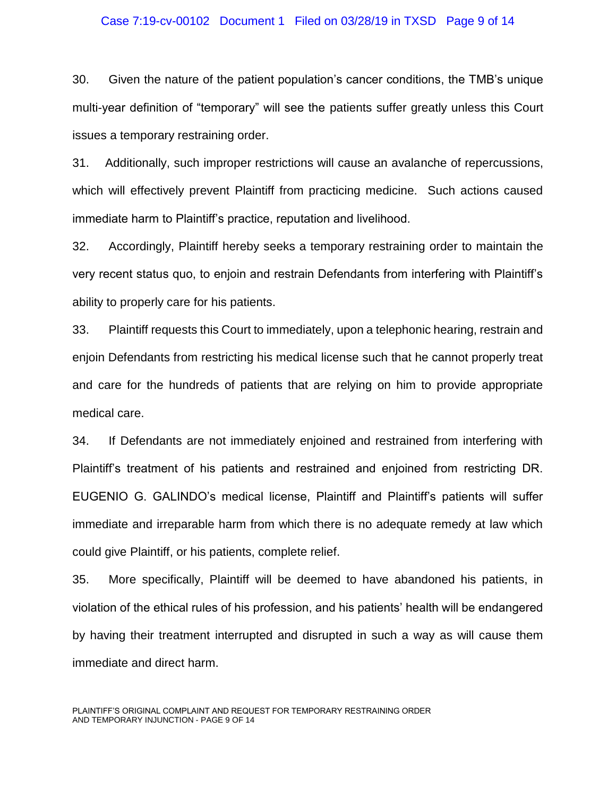#### Case 7:19-cv-00102 Document 1 Filed on 03/28/19 in TXSD Page 9 of 14

30. Given the nature of the patient population's cancer conditions, the TMB's unique multi-year definition of "temporary" will see the patients suffer greatly unless this Court issues a temporary restraining order.

31. Additionally, such improper restrictions will cause an avalanche of repercussions, which will effectively prevent Plaintiff from practicing medicine. Such actions caused immediate harm to Plaintiff's practice, reputation and livelihood.

32. Accordingly, Plaintiff hereby seeks a temporary restraining order to maintain the very recent status quo, to enjoin and restrain Defendants from interfering with Plaintiff's ability to properly care for his patients.

33. Plaintiff requests this Court to immediately, upon a telephonic hearing, restrain and enjoin Defendants from restricting his medical license such that he cannot properly treat and care for the hundreds of patients that are relying on him to provide appropriate medical care.

34. If Defendants are not immediately enjoined and restrained from interfering with Plaintiff's treatment of his patients and restrained and enjoined from restricting DR. EUGENIO G. GALINDO's medical license, Plaintiff and Plaintiff's patients will suffer immediate and irreparable harm from which there is no adequate remedy at law which could give Plaintiff, or his patients, complete relief.

35. More specifically, Plaintiff will be deemed to have abandoned his patients, in violation of the ethical rules of his profession, and his patients' health will be endangered by having their treatment interrupted and disrupted in such a way as will cause them immediate and direct harm.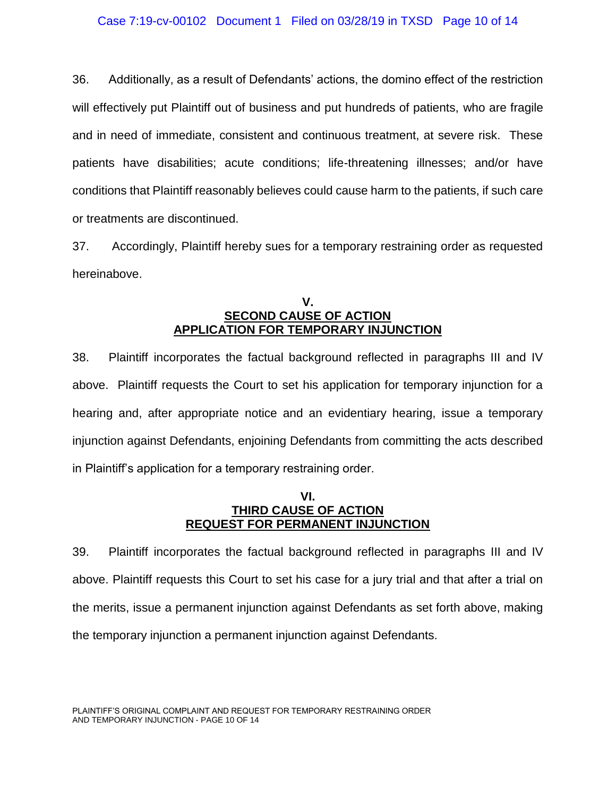36. Additionally, as a result of Defendants' actions, the domino effect of the restriction will effectively put Plaintiff out of business and put hundreds of patients, who are fragile and in need of immediate, consistent and continuous treatment, at severe risk. These patients have disabilities; acute conditions; life-threatening illnesses; and/or have conditions that Plaintiff reasonably believes could cause harm to the patients, if such care or treatments are discontinued.

37. Accordingly, Plaintiff hereby sues for a temporary restraining order as requested hereinabove.

### **V. SECOND CAUSE OF ACTION APPLICATION FOR TEMPORARY INJUNCTION**

38. Plaintiff incorporates the factual background reflected in paragraphs III and IV above. Plaintiff requests the Court to set his application for temporary injunction for a hearing and, after appropriate notice and an evidentiary hearing, issue a temporary injunction against Defendants, enjoining Defendants from committing the acts described in Plaintiff's application for a temporary restraining order.

### **VI. THIRD CAUSE OF ACTION REQUEST FOR PERMANENT INJUNCTION**

39. Plaintiff incorporates the factual background reflected in paragraphs III and IV above. Plaintiff requests this Court to set his case for a jury trial and that after a trial on the merits, issue a permanent injunction against Defendants as set forth above, making the temporary injunction a permanent injunction against Defendants.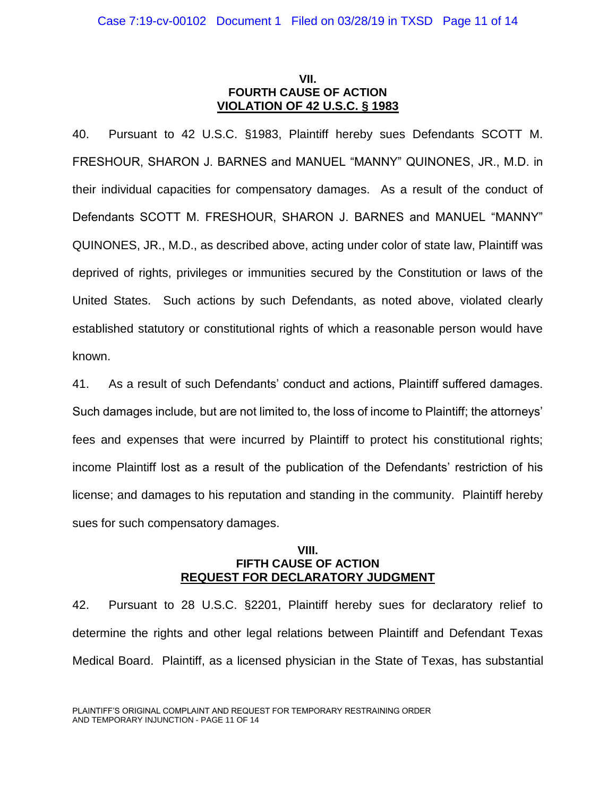### **VII. FOURTH CAUSE OF ACTION VIOLATION OF 42 U.S.C. § 1983**

40. Pursuant to 42 U.S.C. §1983, Plaintiff hereby sues Defendants SCOTT M. FRESHOUR, SHARON J. BARNES and MANUEL "MANNY" QUINONES, JR., M.D. in their individual capacities for compensatory damages. As a result of the conduct of Defendants SCOTT M. FRESHOUR, SHARON J. BARNES and MANUEL "MANNY" QUINONES, JR., M.D., as described above, acting under color of state law, Plaintiff was deprived of rights, privileges or immunities secured by the Constitution or laws of the United States. Such actions by such Defendants, as noted above, violated clearly established statutory or constitutional rights of which a reasonable person would have known.

41. As a result of such Defendants' conduct and actions, Plaintiff suffered damages. Such damages include, but are not limited to, the loss of income to Plaintiff; the attorneys' fees and expenses that were incurred by Plaintiff to protect his constitutional rights; income Plaintiff lost as a result of the publication of the Defendants' restriction of his license; and damages to his reputation and standing in the community. Plaintiff hereby sues for such compensatory damages.

### **VIII. FIFTH CAUSE OF ACTION REQUEST FOR DECLARATORY JUDGMENT**

42. Pursuant to 28 U.S.C. §2201, Plaintiff hereby sues for declaratory relief to determine the rights and other legal relations between Plaintiff and Defendant Texas Medical Board. Plaintiff, as a licensed physician in the State of Texas, has substantial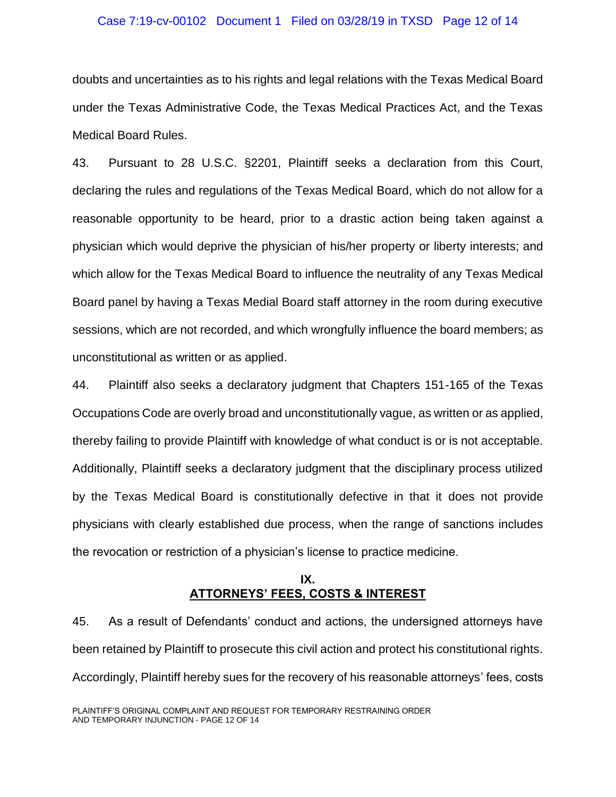#### Case 7:19-cv-00102 Document 1 Filed on 03/28/19 in TXSD Page 12 of 14

doubts and uncertainties as to his rights and legal relations with the Texas Medical Board under the Texas Administrative Code, the Texas Medical Practices Act, and the Texas Medical Board Rules.

43. Pursuant to 28 U.S.C. §2201, Plaintiff seeks a declaration from this Court, declaring the rules and regulations of the Texas Medical Board, which do not allow for a reasonable opportunity to be heard, prior to a drastic action being taken against a physician which would deprive the physician of his/her property or liberty interests; and which allow for the Texas Medical Board to influence the neutrality of any Texas Medical Board panel by having a Texas Medial Board staff attorney in the room during executive sessions, which are not recorded, and which wrongfully influence the board members; as unconstitutional as written or as applied.

44. Plaintiff also seeks a declaratory judgment that Chapters 151-165 of the Texas Occupations Code are overly broad and unconstitutionally vague, as written or as applied, thereby failing to provide Plaintiff with knowledge of what conduct is or is not acceptable. Additionally, Plaintiff seeks a declaratory judgment that the disciplinary process utilized by the Texas Medical Board is constitutionally defective in that it does not provide physicians with clearly established due process, when the range of sanctions includes the revocation or restriction of a physician's license to practice medicine.

## **IX. ATTORNEYS' FEES, COSTS & INTEREST**

45. As a result of Defendants' conduct and actions, the undersigned attorneys have been retained by Plaintiff to prosecute this civil action and protect his constitutional rights. Accordingly, Plaintiff hereby sues for the recovery of his reasonable attorneys' fees, costs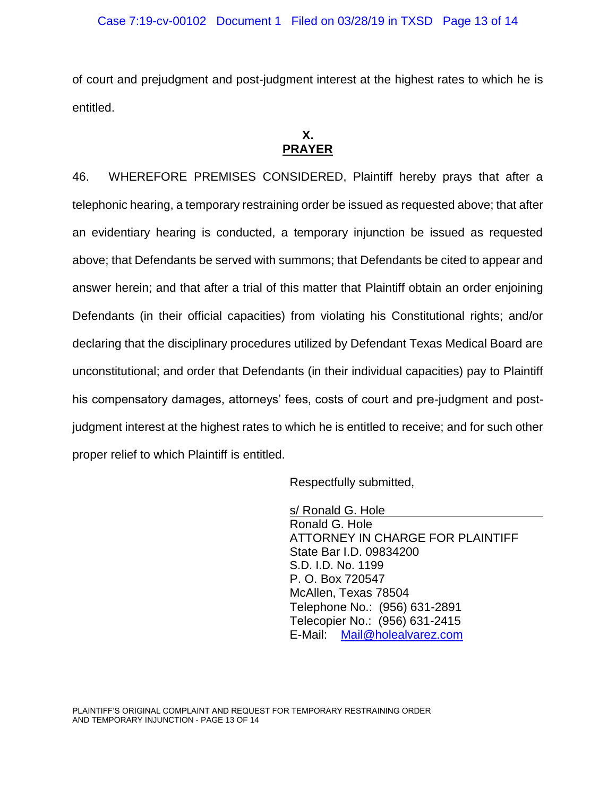of court and prejudgment and post-judgment interest at the highest rates to which he is entitled.

## **X. PRAYER**

46. WHEREFORE PREMISES CONSIDERED, Plaintiff hereby prays that after a telephonic hearing, a temporary restraining order be issued as requested above; that after an evidentiary hearing is conducted, a temporary injunction be issued as requested above; that Defendants be served with summons; that Defendants be cited to appear and answer herein; and that after a trial of this matter that Plaintiff obtain an order enjoining Defendants (in their official capacities) from violating his Constitutional rights; and/or declaring that the disciplinary procedures utilized by Defendant Texas Medical Board are unconstitutional; and order that Defendants (in their individual capacities) pay to Plaintiff his compensatory damages, attorneys' fees, costs of court and pre-judgment and postjudgment interest at the highest rates to which he is entitled to receive; and for such other proper relief to which Plaintiff is entitled.

Respectfully submitted,

s/ Ronald G. Hole Ronald G. Hole ATTORNEY IN CHARGE FOR PLAINTIFF State Bar I.D. 09834200 S.D. I.D. No. 1199 P. O. Box 720547 McAllen, Texas 78504 Telephone No.: (956) 631-2891 Telecopier No.: (956) 631-2415 E-Mail: [Mail@holealvarez.com](mailto:Mail@holealvarez.com)